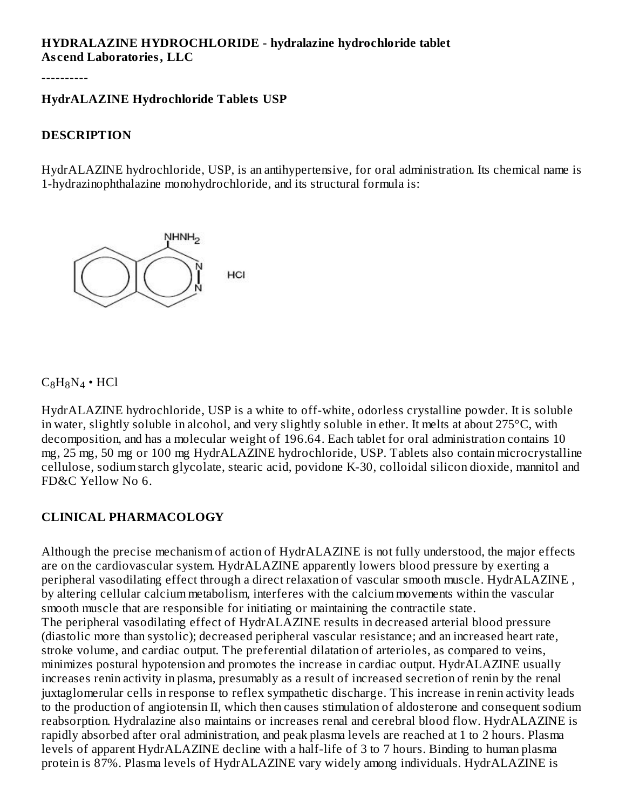### **HYDRALAZINE HYDROCHLORIDE - hydralazine hydrochloride tablet As cend Laboratories, LLC**

----------

#### **HydrALAZINE Hydrochloride Tablets USP**

#### **DESCRIPTION**

HydrALAZINE hydrochloride, USP, is an antihypertensive, for oral administration. Its chemical name is 1-hydrazinophthalazine monohydrochloride, and its structural formula is:



 $C_8H_8N_4 \cdot HCl$ 

HydrALAZINE hydrochloride, USP is a white to off-white, odorless crystalline powder. It is soluble in water, slightly soluble in alcohol, and very slightly soluble in ether. It melts at about 275°C, with decomposition, and has a molecular weight of 196.64. Each tablet for oral administration contains 10 mg, 25 mg, 50 mg or 100 mg HydrALAZINE hydrochloride, USP. Tablets also contain microcrystalline cellulose, sodium starch glycolate, stearic acid, povidone K-30, colloidal silicon dioxide, mannitol and FD&C Yellow No 6.

### **CLINICAL PHARMACOLOGY**

Although the precise mechanism of action of HydrALAZINE is not fully understood, the major effects are on the cardiovascular system. HydrALAZINE apparently lowers blood pressure by exerting a peripheral vasodilating effect through a direct relaxation of vascular smooth muscle. HydrALAZINE , by altering cellular calcium metabolism, interferes with the calcium movements within the vascular smooth muscle that are responsible for initiating or maintaining the contractile state. The peripheral vasodilating effect of HydrALAZINE results in decreased arterial blood pressure (diastolic more than systolic); decreased peripheral vascular resistance; and an increased heart rate, stroke volume, and cardiac output. The preferential dilatation of arterioles, as compared to veins, minimizes postural hypotension and promotes the increase in cardiac output. HydrALAZINE usually increases renin activity in plasma, presumably as a result of increased secretion of renin by the renal juxtaglomerular cells in response to reflex sympathetic discharge. This increase in renin activity leads to the production of angiotensin II, which then causes stimulation of aldosterone and consequent sodium reabsorption. Hydralazine also maintains or increases renal and cerebral blood flow. HydrALAZINE is rapidly absorbed after oral administration, and peak plasma levels are reached at 1 to 2 hours. Plasma levels of apparent HydrALAZINE decline with a half-life of 3 to 7 hours. Binding to human plasma protein is 87%. Plasma levels of HydrALAZINE vary widely among individuals. HydrALAZINE is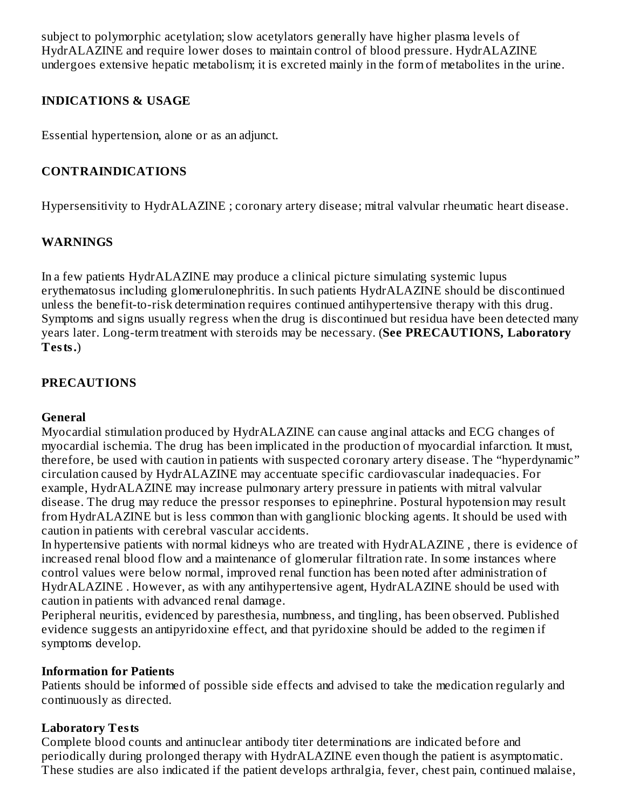subject to polymorphic acetylation; slow acetylators generally have higher plasma levels of HydrALAZINE and require lower doses to maintain control of blood pressure. HydrALAZINE undergoes extensive hepatic metabolism; it is excreted mainly in the form of metabolites in the urine.

### **INDICATIONS & USAGE**

Essential hypertension, alone or as an adjunct.

# **CONTRAINDICATIONS**

Hypersensitivity to HydrALAZINE ; coronary artery disease; mitral valvular rheumatic heart disease.

## **WARNINGS**

In a few patients HydrALAZINE may produce a clinical picture simulating systemic lupus erythematosus including glomerulonephritis. In such patients HydrALAZINE should be discontinued unless the benefit-to-risk determination requires continued antihypertensive therapy with this drug. Symptoms and signs usually regress when the drug is discontinued but residua have been detected many years later. Long-term treatment with steroids may be necessary. (**See PRECAUTIONS, Laboratory Tests.**)

### **PRECAUTIONS**

#### **General**

Myocardial stimulation produced by HydrALAZINE can cause anginal attacks and ECG changes of myocardial ischemia. The drug has been implicated in the production of myocardial infarction. It must, therefore, be used with caution in patients with suspected coronary artery disease. The "hyperdynamic" circulation caused by HydrALAZINE may accentuate specific cardiovascular inadequacies. For example, HydrALAZINE may increase pulmonary artery pressure in patients with mitral valvular disease. The drug may reduce the pressor responses to epinephrine. Postural hypotension may result from HydrALAZINE but is less common than with ganglionic blocking agents. It should be used with caution in patients with cerebral vascular accidents.

In hypertensive patients with normal kidneys who are treated with HydrALAZINE , there is evidence of increased renal blood flow and a maintenance of glomerular filtration rate. In some instances where control values were below normal, improved renal function has been noted after administration of HydrALAZINE . However, as with any antihypertensive agent, HydrALAZINE should be used with caution in patients with advanced renal damage.

Peripheral neuritis, evidenced by paresthesia, numbness, and tingling, has been observed. Published evidence suggests an antipyridoxine effect, and that pyridoxine should be added to the regimen if symptoms develop.

### **Information for Patients**

Patients should be informed of possible side effects and advised to take the medication regularly and continuously as directed.

### **Laboratory Tests**

Complete blood counts and antinuclear antibody titer determinations are indicated before and periodically during prolonged therapy with HydrALAZINE even though the patient is asymptomatic. These studies are also indicated if the patient develops arthralgia, fever, chest pain, continued malaise,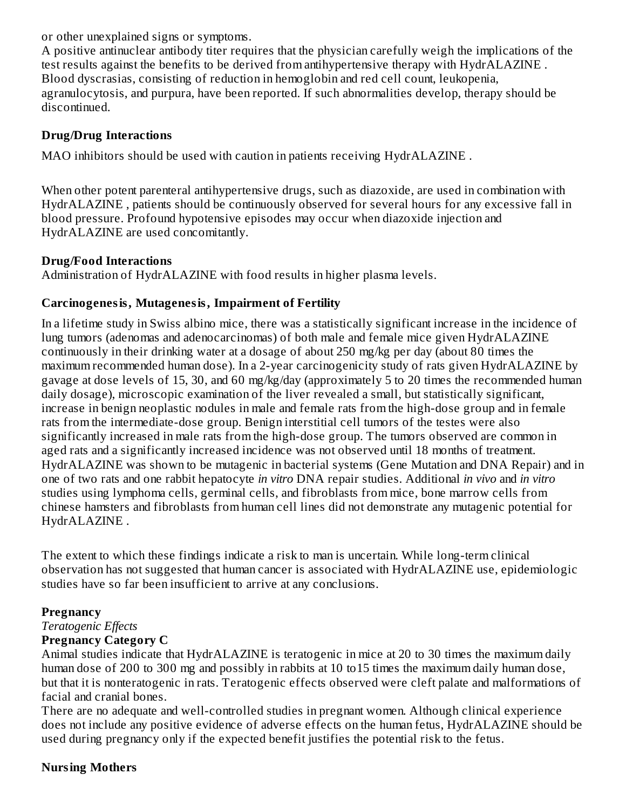or other unexplained signs or symptoms.

A positive antinuclear antibody titer requires that the physician carefully weigh the implications of the test results against the benefits to be derived from antihypertensive therapy with HydrALAZINE . Blood dyscrasias, consisting of reduction in hemoglobin and red cell count, leukopenia, agranulocytosis, and purpura, have been reported. If such abnormalities develop, therapy should be discontinued.

### **Drug/Drug Interactions**

MAO inhibitors should be used with caution in patients receiving HydrALAZINE .

When other potent parenteral antihypertensive drugs, such as diazoxide, are used in combination with HydrALAZINE , patients should be continuously observed for several hours for any excessive fall in blood pressure. Profound hypotensive episodes may occur when diazoxide injection and HydrALAZINE are used concomitantly.

### **Drug/Food Interactions**

Administration of HydrALAZINE with food results in higher plasma levels.

# **Carcinogenesis, Mutagenesis, Impairment of Fertility**

In a lifetime study in Swiss albino mice, there was a statistically significant increase in the incidence of lung tumors (adenomas and adenocarcinomas) of both male and female mice given HydrALAZINE continuously in their drinking water at a dosage of about 250 mg/kg per day (about 80 times the maximum recommended human dose). In a 2-year carcinogenicity study of rats given HydrALAZINE by gavage at dose levels of 15, 30, and 60 mg/kg/day (approximately 5 to 20 times the recommended human daily dosage), microscopic examination of the liver revealed a small, but statistically significant, increase in benign neoplastic nodules in male and female rats from the high-dose group and in female rats from the intermediate-dose group. Benign interstitial cell tumors of the testes were also significantly increased in male rats from the high-dose group. The tumors observed are common in aged rats and a significantly increased incidence was not observed until 18 months of treatment. HydrALAZINE was shown to be mutagenic in bacterial systems (Gene Mutation and DNA Repair) and in one of two rats and one rabbit hepatocyte *in vitro* DNA repair studies. Additional *in vivo* and *in vitro* studies using lymphoma cells, germinal cells, and fibroblasts from mice, bone marrow cells from chinese hamsters and fibroblasts from human cell lines did not demonstrate any mutagenic potential for HydrALAZINE .

The extent to which these findings indicate a risk to man is uncertain. While long-term clinical observation has not suggested that human cancer is associated with HydrALAZINE use, epidemiologic studies have so far been insufficient to arrive at any conclusions.

### **Pregnancy**

### *Teratogenic Effects*

### **Pregnancy Category C**

Animal studies indicate that HydrALAZINE is teratogenic in mice at 20 to 30 times the maximum daily human dose of 200 to 300 mg and possibly in rabbits at 10 to15 times the maximum daily human dose, but that it is nonteratogenic in rats. Teratogenic effects observed were cleft palate and malformations of facial and cranial bones.

There are no adequate and well-controlled studies in pregnant women. Although clinical experience does not include any positive evidence of adverse effects on the human fetus, HydrALAZINE should be used during pregnancy only if the expected benefit justifies the potential risk to the fetus.

### **Nursing Mothers**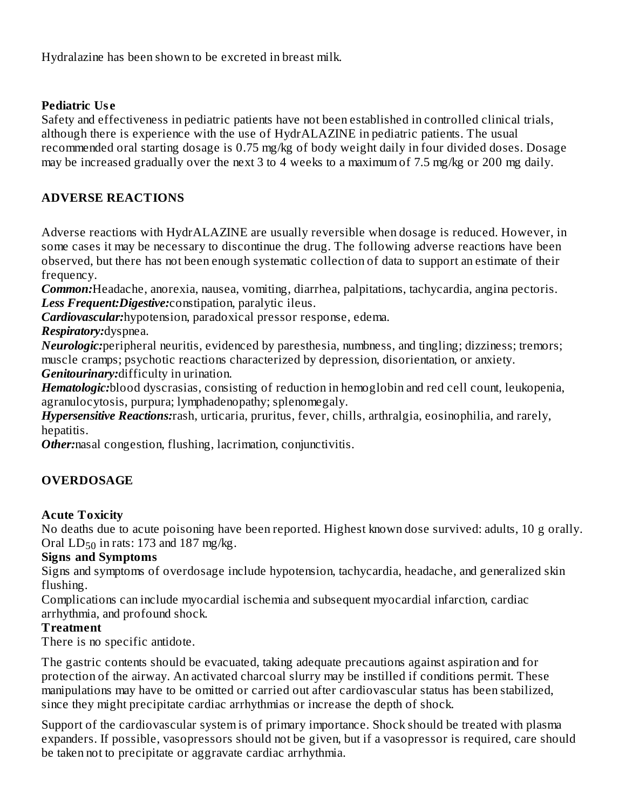Hydralazine has been shown to be excreted in breast milk.

### **Pediatric Us e**

Safety and effectiveness in pediatric patients have not been established in controlled clinical trials, although there is experience with the use of HydrALAZINE in pediatric patients. The usual recommended oral starting dosage is 0.75 mg/kg of body weight daily in four divided doses. Dosage may be increased gradually over the next 3 to 4 weeks to a maximum of 7.5 mg/kg or 200 mg daily.

# **ADVERSE REACTIONS**

Adverse reactions with HydrALAZINE are usually reversible when dosage is reduced. However, in some cases it may be necessary to discontinue the drug. The following adverse reactions have been observed, but there has not been enough systematic collection of data to support an estimate of their frequency.

*Common:*Headache, anorexia, nausea, vomiting, diarrhea, palpitations, tachycardia, angina pectoris. *Less Frequent:Digestive:*constipation, paralytic ileus.

*Cardiovascular:*hypotension, paradoxical pressor response, edema.

*Respiratory:*dyspnea.

*Neurologic:*peripheral neuritis, evidenced by paresthesia, numbness, and tingling; dizziness; tremors; muscle cramps; psychotic reactions characterized by depression, disorientation, or anxiety.

*Genitourinary:*difficulty in urination.

*Hematologic:*blood dyscrasias, consisting of reduction in hemoglobin and red cell count, leukopenia, agranulocytosis, purpura; lymphadenopathy; splenomegaly.

*Hypersensitive Reactions:*rash, urticaria, pruritus, fever, chills, arthralgia, eosinophilia, and rarely, hepatitis.

*Other:*nasal congestion, flushing, lacrimation, conjunctivitis.

# **OVERDOSAGE**

# **Acute Toxicity**

No deaths due to acute poisoning have been reported. Highest known dose survived: adults, 10 g orally. Oral  $LD_{50}$  in rats: 173 and 187 mg/kg.

### **Signs and Symptoms**

Signs and symptoms of overdosage include hypotension, tachycardia, headache, and generalized skin flushing.

Complications can include myocardial ischemia and subsequent myocardial infarction, cardiac arrhythmia, and profound shock.

### **Treatment**

There is no specific antidote.

The gastric contents should be evacuated, taking adequate precautions against aspiration and for protection of the airway. An activated charcoal slurry may be instilled if conditions permit. These manipulations may have to be omitted or carried out after cardiovascular status has been stabilized, since they might precipitate cardiac arrhythmias or increase the depth of shock.

Support of the cardiovascular system is of primary importance. Shock should be treated with plasma expanders. If possible, vasopressors should not be given, but if a vasopressor is required, care should be taken not to precipitate or aggravate cardiac arrhythmia.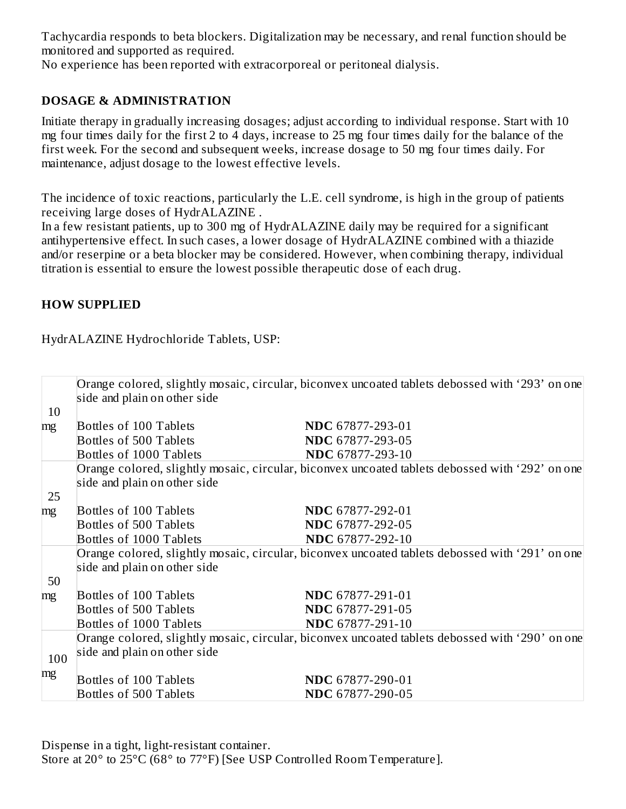Tachycardia responds to beta blockers. Digitalization may be necessary, and renal function should be monitored and supported as required.

No experience has been reported with extracorporeal or peritoneal dialysis.

## **DOSAGE & ADMINISTRATION**

Initiate therapy in gradually increasing dosages; adjust according to individual response. Start with 10 mg four times daily for the first 2 to 4 days, increase to 25 mg four times daily for the balance of the first week. For the second and subsequent weeks, increase dosage to 50 mg four times daily. For maintenance, adjust dosage to the lowest effective levels.

The incidence of toxic reactions, particularly the L.E. cell syndrome, is high in the group of patients receiving large doses of HydrALAZINE .

In a few resistant patients, up to 300 mg of HydrALAZINE daily may be required for a significant antihypertensive effect. In such cases, a lower dosage of HydrALAZINE combined with a thiazide and/or reserpine or a beta blocker may be considered. However, when combining therapy, individual titration is essential to ensure the lowest possible therapeutic dose of each drug.

### **HOW SUPPLIED**

HydrALAZINE Hydrochloride Tablets, USP:

|     | Orange colored, slightly mosaic, circular, biconvex uncoated tablets debossed with '293' on one |                                                                                                 |  |  |
|-----|-------------------------------------------------------------------------------------------------|-------------------------------------------------------------------------------------------------|--|--|
|     | side and plain on other side                                                                    |                                                                                                 |  |  |
| 10  |                                                                                                 |                                                                                                 |  |  |
| mg  | Bottles of 100 Tablets                                                                          | NDC 67877-293-01                                                                                |  |  |
|     | Bottles of 500 Tablets                                                                          | NDC 67877-293-05                                                                                |  |  |
|     | Bottles of 1000 Tablets                                                                         | NDC 67877-293-10                                                                                |  |  |
|     |                                                                                                 | Orange colored, slightly mosaic, circular, biconvex uncoated tablets debossed with '292' on one |  |  |
|     | side and plain on other side                                                                    |                                                                                                 |  |  |
| 25  |                                                                                                 |                                                                                                 |  |  |
| mg  | Bottles of 100 Tablets                                                                          | <b>NDC</b> 67877-292-01                                                                         |  |  |
|     | Bottles of 500 Tablets                                                                          | NDC 67877-292-05                                                                                |  |  |
|     | Bottles of 1000 Tablets                                                                         | NDC 67877-292-10                                                                                |  |  |
|     |                                                                                                 | Orange colored, slightly mosaic, circular, biconvex uncoated tablets debossed with '291' on one |  |  |
|     | side and plain on other side                                                                    |                                                                                                 |  |  |
| 50  |                                                                                                 |                                                                                                 |  |  |
| mg  | Bottles of 100 Tablets                                                                          | NDC 67877-291-01                                                                                |  |  |
|     | Bottles of 500 Tablets                                                                          | NDC 67877-291-05                                                                                |  |  |
|     | Bottles of 1000 Tablets                                                                         | NDC 67877-291-10                                                                                |  |  |
|     |                                                                                                 | Orange colored, slightly mosaic, circular, biconvex uncoated tablets debossed with '290' on one |  |  |
| 100 | side and plain on other side                                                                    |                                                                                                 |  |  |
|     |                                                                                                 |                                                                                                 |  |  |
| mg  | Bottles of 100 Tablets                                                                          | NDC 67877-290-01                                                                                |  |  |
|     | Bottles of 500 Tablets                                                                          | NDC 67877-290-05                                                                                |  |  |

Dispense in a tight, light-resistant container.

Store at 20° to 25°C (68° to 77°F) [See USP Controlled Room Temperature].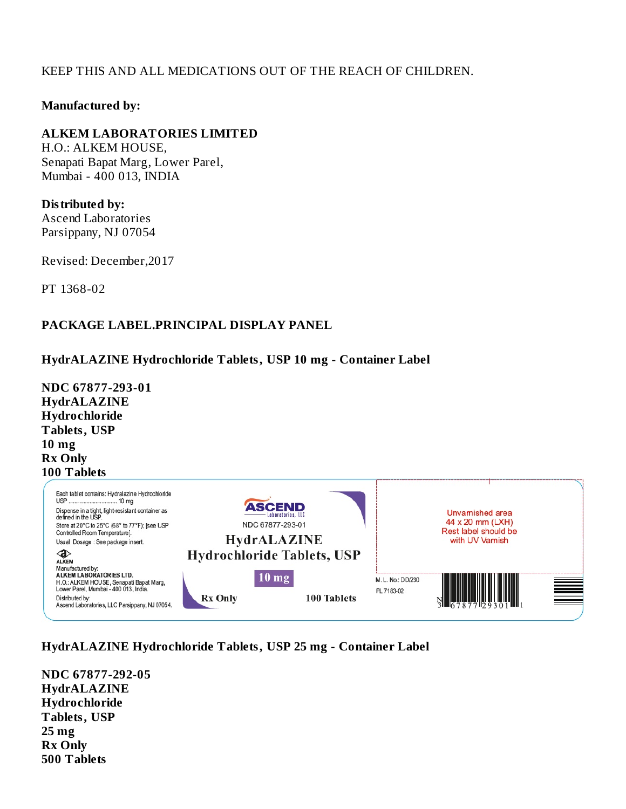### KEEP THIS AND ALL MEDICATIONS OUT OF THE REACH OF CHILDREN.

#### **Manufactured by:**

### **ALKEM LABORATORIES LIMITED**

H.O.: ALKEM HOUSE, Senapati Bapat Marg, Lower Parel, Mumbai - 400 013, INDIA

### **Distributed by:**

Ascend Laboratories Parsippany, NJ 07054

Revised: December,2017

PT 1368-02

### **PACKAGE LABEL.PRINCIPAL DISPLAY PANEL**

### **HydrALAZINE Hydrochloride Tablets, USP 10 mg - Container Label**



### **HydrALAZINE Hydrochloride Tablets, USP 25 mg - Container Label**

**NDC 67877-292-05 HydrALAZINE Hydrochloride Tablets, USP 25 mg Rx Only 500 Tablets**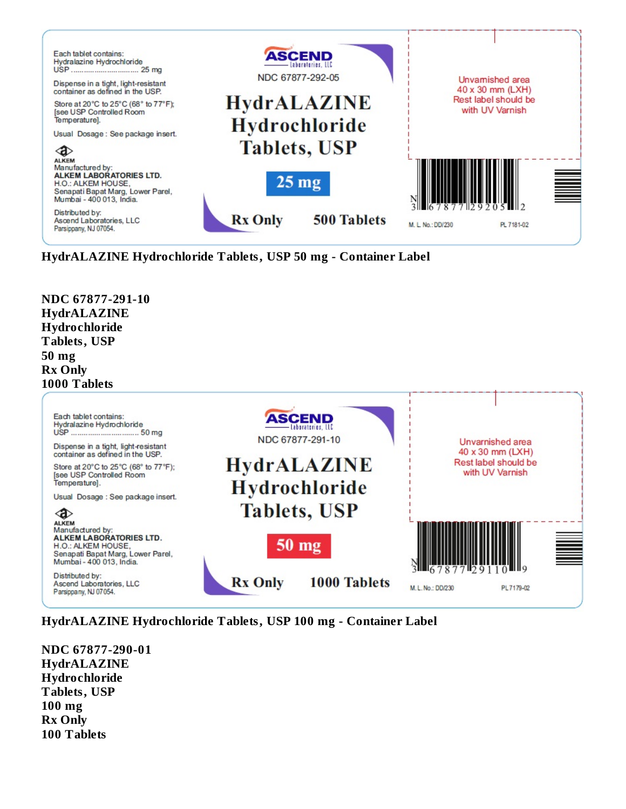

**HydrALAZINE Hydrochloride Tablets, USP 50 mg - Container Label**



**HydrALAZINE Hydrochloride Tablets, USP 100 mg - Container Label**

**NDC 67877-290-01 HydrALAZINE Hydrochloride Tablets, USP 100 mg Rx Only 100 Tablets**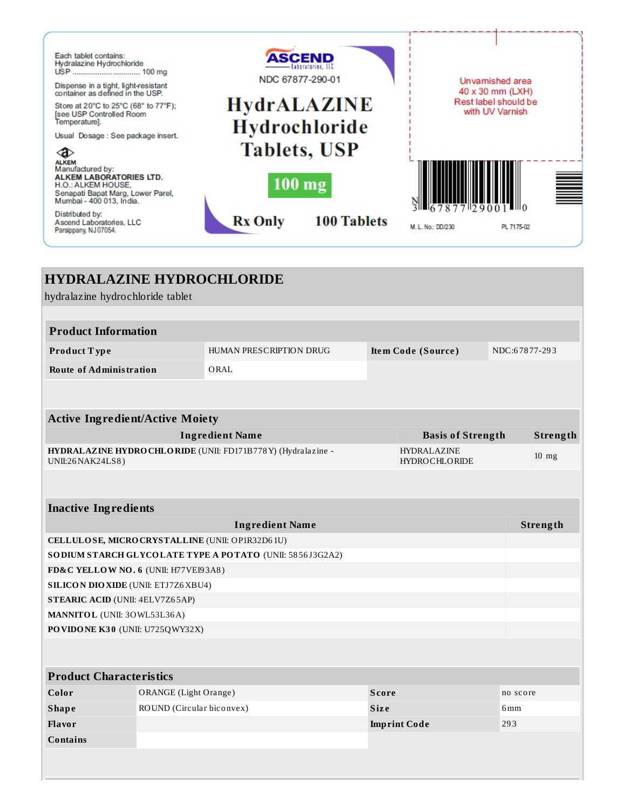

| <b>Product Characteristics</b> |                           |                     |                 |
|--------------------------------|---------------------------|---------------------|-----------------|
| Color                          | ORANGE (Light Orange)     | <b>Score</b>        | no score        |
| <b>Shape</b>                   | ROUND (Circular biconvex) | <b>Size</b>         | 6 <sub>mm</sub> |
| Flavor                         |                           | <b>Imprint Code</b> | 293             |
| <b>Contains</b>                |                           |                     |                 |
|                                |                           |                     |                 |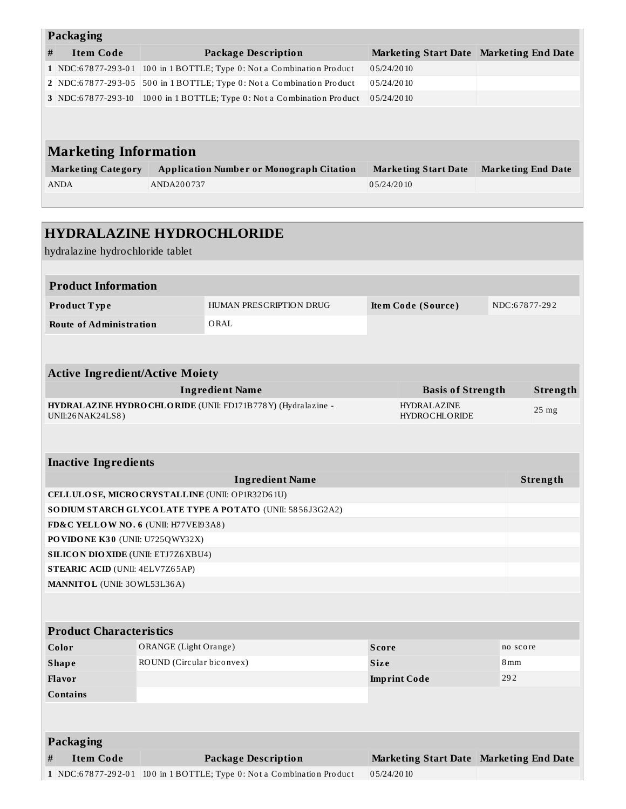|                                             | Packaging                                                                                         |                                                    |                                                               |              |                                            |      |                           |  |
|---------------------------------------------|---------------------------------------------------------------------------------------------------|----------------------------------------------------|---------------------------------------------------------------|--------------|--------------------------------------------|------|---------------------------|--|
| #                                           | <b>Item Code</b>                                                                                  |                                                    | <b>Package Description</b>                                    |              | Marketing Start Date   Marketing End Date  |      |                           |  |
|                                             | 1 NDC:67877-293-01                                                                                | 100 in 1 BOTTLE; Type 0: Not a Combination Product |                                                               |              | 05/24/2010                                 |      |                           |  |
|                                             | 2 NDC:67877-293-05<br>500 in 1 BOTTLE; Type 0: Not a Combination Product                          |                                                    |                                                               | 05/24/2010   |                                            |      |                           |  |
|                                             | 3 NDC:67877-293-10                                                                                |                                                    | 1000 in 1 BOTTLE; Type 0: Not a Combination Product           | 05/24/2010   |                                            |      |                           |  |
|                                             |                                                                                                   |                                                    |                                                               |              |                                            |      |                           |  |
|                                             |                                                                                                   |                                                    |                                                               |              |                                            |      |                           |  |
|                                             | <b>Marketing Information</b>                                                                      |                                                    |                                                               |              |                                            |      |                           |  |
|                                             | <b>Marketing Category</b>                                                                         |                                                    | <b>Application Number or Monograph Citation</b>               |              | <b>Marketing Start Date</b>                |      | <b>Marketing End Date</b> |  |
|                                             | ANDA                                                                                              | ANDA200737                                         |                                                               | 05/24/2010   |                                            |      |                           |  |
|                                             |                                                                                                   |                                                    |                                                               |              |                                            |      |                           |  |
|                                             |                                                                                                   |                                                    |                                                               |              |                                            |      |                           |  |
|                                             |                                                                                                   |                                                    | <b>HYDRALAZINE HYDROCHLORIDE</b>                              |              |                                            |      |                           |  |
|                                             | hydralazine hydrochloride tablet                                                                  |                                                    |                                                               |              |                                            |      |                           |  |
|                                             |                                                                                                   |                                                    |                                                               |              |                                            |      |                           |  |
|                                             | <b>Product Information</b>                                                                        |                                                    |                                                               |              |                                            |      |                           |  |
|                                             | Product Type                                                                                      |                                                    | HUMAN PRESCRIPTION DRUG                                       |              | Item Code (Source)                         |      | NDC:67877-292             |  |
|                                             |                                                                                                   |                                                    |                                                               |              |                                            |      |                           |  |
|                                             | <b>Route of Administration</b>                                                                    |                                                    | ORAL                                                          |              |                                            |      |                           |  |
|                                             |                                                                                                   |                                                    |                                                               |              |                                            |      |                           |  |
|                                             |                                                                                                   |                                                    |                                                               |              |                                            |      |                           |  |
|                                             | <b>Active Ingredient/Active Moiety</b>                                                            |                                                    |                                                               |              |                                            |      |                           |  |
|                                             |                                                                                                   |                                                    | <b>Ingredient Name</b>                                        |              | <b>Basis of Strength</b>                   |      | Strength                  |  |
|                                             |                                                                                                   |                                                    | HYDRALAZINE HYDRO CHLO RIDE (UNII: FD171B778Y) (Hydralazine - |              | <b>HYDRALAZINE</b><br><b>HYDROCHLORIDE</b> |      | 25 mg                     |  |
|                                             | UNII:26 NAK24LS8)                                                                                 |                                                    |                                                               |              |                                            |      |                           |  |
|                                             |                                                                                                   |                                                    |                                                               |              |                                            |      |                           |  |
|                                             | <b>Inactive Ingredients</b>                                                                       |                                                    |                                                               |              |                                            |      |                           |  |
|                                             |                                                                                                   |                                                    | <b>Ingredient Name</b>                                        |              |                                            |      | Strength                  |  |
|                                             |                                                                                                   |                                                    | CELLULOSE, MICRO CRYSTALLINE (UNII: OP1R32D61U)               |              |                                            |      |                           |  |
|                                             |                                                                                                   |                                                    |                                                               |              |                                            |      |                           |  |
|                                             | SO DIUM STARCH GLYCOLATE TYPE A POTATO (UNII: 5856J3G2A2)<br>FD&C YELLOW NO. 6 (UNII: H77VEI93A8) |                                                    |                                                               |              |                                            |      |                           |  |
|                                             | PO VIDO NE K30 (UNII: U725QWY32X)                                                                 |                                                    |                                                               |              |                                            |      |                           |  |
| <b>SILICON DIO XIDE (UNII: ETJ7Z6 XBU4)</b> |                                                                                                   |                                                    |                                                               |              |                                            |      |                           |  |
|                                             | STEARIC ACID (UNII: 4ELV7Z65AP)                                                                   |                                                    |                                                               |              |                                            |      |                           |  |
|                                             | MANNITOL (UNII: 30WL53L36A)                                                                       |                                                    |                                                               |              |                                            |      |                           |  |
|                                             |                                                                                                   |                                                    |                                                               |              |                                            |      |                           |  |
|                                             |                                                                                                   |                                                    |                                                               |              |                                            |      |                           |  |
|                                             | <b>Product Characteristics</b>                                                                    |                                                    |                                                               |              |                                            |      |                           |  |
|                                             | Color                                                                                             | ORANGE (Light Orange)                              |                                                               | <b>Score</b> |                                            |      | no score                  |  |
|                                             | <b>Shape</b>                                                                                      | ROUND (Circular biconvex)                          |                                                               | <b>Size</b>  |                                            | 8 mm |                           |  |
|                                             | Flavor<br><b>Imprint Code</b>                                                                     |                                                    | 292                                                           |              |                                            |      |                           |  |

|   | Packaging |                                                                       |                                         |  |
|---|-----------|-----------------------------------------------------------------------|-----------------------------------------|--|
| # | Item Code | Package Description                                                   | Marketing Start Date Marketing End Date |  |
|   |           | 1 NDC:67877-292-01 100 in 1 BOTTLE; Type 0: Not a Combination Product | 05/24/2010                              |  |

**Contains**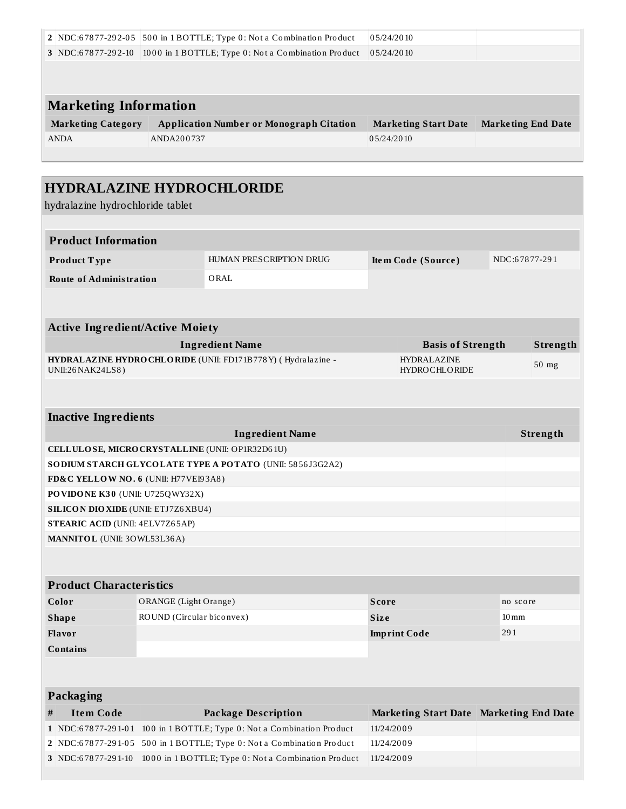| <b>HYDRALAZINE HYDROCHLORIDE</b> |                                                                       |                             |                           |  |  |
|----------------------------------|-----------------------------------------------------------------------|-----------------------------|---------------------------|--|--|
|                                  |                                                                       |                             |                           |  |  |
|                                  |                                                                       |                             |                           |  |  |
| <b>ANDA</b>                      | ANDA200737                                                            | 05/24/2010                  |                           |  |  |
| <b>Marketing Category</b>        | <b>Application Number or Monograph Citation</b>                       | <b>Marketing Start Date</b> | <b>Marketing End Date</b> |  |  |
| <b>Marketing Information</b>     |                                                                       |                             |                           |  |  |
|                                  |                                                                       |                             |                           |  |  |
| 3 NDC:67877-292-10               | 1000 in 1 BOTTLE; Type 0: Not a Combination Product                   | 05/24/2010                  |                           |  |  |
|                                  | 2 NDC:67877-292-05 500 in 1 BOTTLE; Type 0: Not a Combination Product | 0.5/24/2010                 |                           |  |  |

hydralazine hydrochloride tablet

| <b>Product Information</b>     |                         |                    |               |
|--------------------------------|-------------------------|--------------------|---------------|
| Product Type                   | HUMAN PRESCRIPTION DRUG | Item Code (Source) | NDC:67877-291 |
| <b>Route of Administration</b> | ORAL                    |                    |               |

| <b>Active Ingredient/Active Moiety</b>                                            |                              |          |
|-----------------------------------------------------------------------------------|------------------------------|----------|
| Ingredient Name                                                                   | <b>Basis of Strength</b>     | Strength |
| HYDRALAZINE HYDRO CHLO RIDE (UNII: FD171B778Y) (Hydralazine -<br>UNII:26 NAK24LS8 | HYDRALAZINE<br>HYDROCHLORIDE | $50$ mg  |

| <b>Inactive Ingredients</b>                                     |          |
|-----------------------------------------------------------------|----------|
| <b>Ingredient Name</b>                                          | Strength |
| CELLULOSE, MICRO CRYSTALLINE (UNII: OP1R32D61U)                 |          |
| <b>SODIUM STARCH GLYCOLATE TYPE A POTATO (UNII: 5856J3G2A2)</b> |          |
| FD&C YELLOW NO. 6 (UNII: H77VEI93A8)                            |          |
| <b>PO VIDO NE K30 (UNII: U725QWY32X)</b>                        |          |
| <b>SILICON DIO XIDE (UNII: ETJ7Z6XBU4)</b>                      |          |
| STEARIC ACID (UNII: 4ELV7Z65AP)                                 |          |
| <b>MANNITOL</b> (UNII: 30WL53L36A)                              |          |

| <b>Product Characteristics</b> |                           |                     |                    |  |
|--------------------------------|---------------------------|---------------------|--------------------|--|
| Color                          | ORANGE (Light Orange)     | Score               | no score           |  |
| <b>Shape</b>                   | ROUND (Circular biconvex) | <b>Size</b>         | $10 \,\mathrm{mm}$ |  |
| Flavor                         |                           | <b>Imprint Code</b> | 291                |  |
| <b>Contains</b>                |                           |                     |                    |  |

| <b>Packaging</b> |                                                                        |                                           |  |
|------------------|------------------------------------------------------------------------|-------------------------------------------|--|
| <b>Item Code</b> | <b>Package Description</b>                                             | Marketing Start Date   Marketing End Date |  |
|                  | 1 NDC:67877-291-01 100 in 1 BOTTLE; Type 0: Not a Combination Product  | 11/24/2009                                |  |
|                  | 2 NDC:67877-291-05 500 in 1 BOTTLE; Type 0: Not a Combination Product  | 11/24/2009                                |  |
|                  | 3 NDC:67877-291-10 1000 in 1 BOTTLE; Type 0: Not a Combination Product | 11/24/2009                                |  |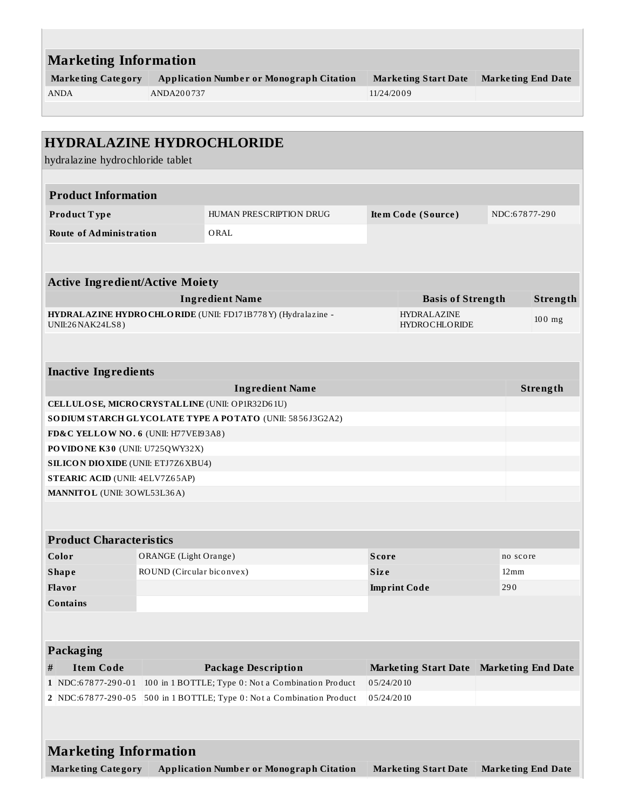| <b>Marketing Information</b>                |                                                                              |                                                                       |              |                                            |                    |                           |
|---------------------------------------------|------------------------------------------------------------------------------|-----------------------------------------------------------------------|--------------|--------------------------------------------|--------------------|---------------------------|
|                                             | <b>Marketing Category</b><br><b>Application Number or Monograph Citation</b> |                                                                       |              |                                            |                    | <b>Marketing End Date</b> |
| <b>ANDA</b>                                 | ANDA200737                                                                   |                                                                       | 11/24/2009   |                                            |                    |                           |
|                                             |                                                                              |                                                                       |              |                                            |                    |                           |
|                                             |                                                                              |                                                                       |              |                                            |                    |                           |
| <b>HYDRALAZINE HYDROCHLORIDE</b>            |                                                                              |                                                                       |              |                                            |                    |                           |
| hydralazine hydrochloride tablet            |                                                                              |                                                                       |              |                                            |                    |                           |
|                                             |                                                                              |                                                                       |              |                                            |                    |                           |
| <b>Product Information</b>                  |                                                                              |                                                                       |              |                                            |                    |                           |
| Product Type                                |                                                                              | HUMAN PRESCRIPTION DRUG                                               |              | Item Code (Source)                         |                    | NDC:67877-290             |
| <b>Route of Administration</b>              |                                                                              | ORAL                                                                  |              |                                            |                    |                           |
|                                             |                                                                              |                                                                       |              |                                            |                    |                           |
|                                             |                                                                              |                                                                       |              |                                            |                    |                           |
| <b>Active Ingredient/Active Moiety</b>      |                                                                              |                                                                       |              |                                            |                    |                           |
|                                             |                                                                              | <b>Ingredient Name</b>                                                |              | <b>Basis of Strength</b>                   |                    | Strength                  |
| UNII:26 NAK24LS8)                           |                                                                              | HYDRALAZINE HYDRO CHLORIDE (UNII: FD171B778Y) (Hydralazine -          |              | <b>HYDRALAZINE</b><br><b>HYDROCHLORIDE</b> |                    | $100$ mg                  |
|                                             |                                                                              |                                                                       |              |                                            |                    |                           |
|                                             |                                                                              |                                                                       |              |                                            |                    |                           |
| <b>Inactive Ingredients</b>                 |                                                                              |                                                                       |              |                                            |                    |                           |
|                                             |                                                                              | <b>Ingredient Name</b>                                                |              |                                            |                    | Strength                  |
|                                             | CELLULOSE, MICRO CRYSTALLINE (UNII: OP1R32D61U)                              |                                                                       |              |                                            |                    |                           |
|                                             |                                                                              | SODIUM STARCH GLYCOLATE TYPE A POTATO (UNII: 5856J3G2A2)              |              |                                            |                    |                           |
| FD&C YELLOW NO. 6 (UNII: H77VEI93A8)        |                                                                              |                                                                       |              |                                            |                    |                           |
| PO VIDO NE K30 (UNII: U725QWY32X)           |                                                                              |                                                                       |              |                                            |                    |                           |
| <b>SILICON DIO XIDE (UNII: ETJ7Z6 XBU4)</b> |                                                                              |                                                                       |              |                                            |                    |                           |
| <b>STEARIC ACID (UNII: 4ELV7Z65AP)</b>      |                                                                              |                                                                       |              |                                            |                    |                           |
| MANNITOL (UNII: 30WL53L36A)                 |                                                                              |                                                                       |              |                                            |                    |                           |
|                                             |                                                                              |                                                                       |              |                                            |                    |                           |
|                                             |                                                                              |                                                                       |              |                                            |                    |                           |
| <b>Product Characteristics</b>              |                                                                              |                                                                       |              |                                            |                    |                           |
| Color                                       | ORANGE (Light Orange)                                                        |                                                                       | <b>Score</b> |                                            |                    | no score                  |
| <b>Shape</b>                                | ROUND (Circular biconvex)                                                    |                                                                       | Size         |                                            | $12 \,\mathrm{mm}$ |                           |
| Flavor                                      |                                                                              |                                                                       |              | <b>Imprint Code</b>                        | 290                |                           |
| <b>Contains</b>                             |                                                                              |                                                                       |              |                                            |                    |                           |
|                                             |                                                                              |                                                                       |              |                                            |                    |                           |
| <b>Packaging</b>                            |                                                                              |                                                                       |              |                                            |                    |                           |
| <b>Item Code</b><br>#                       |                                                                              | <b>Package Description</b>                                            |              | <b>Marketing Start Date</b>                |                    | <b>Marketing End Date</b> |
|                                             |                                                                              | 1 NDC:67877-290-01 100 in 1 BOTTLE; Type 0: Not a Combination Product | 05/24/2010   |                                            |                    |                           |
| 2 NDC:67877-290-05                          |                                                                              | 500 in 1 BOTTLE; Type 0: Not a Combination Product                    | 05/24/2010   |                                            |                    |                           |
|                                             |                                                                              |                                                                       |              |                                            |                    |                           |
|                                             |                                                                              |                                                                       |              |                                            |                    |                           |
| <b>Marketing Information</b>                |                                                                              |                                                                       |              |                                            |                    |                           |
| <b>Marketing Category</b>                   |                                                                              | <b>Application Number or Monograph Citation</b>                       |              | <b>Marketing Start Date</b>                |                    | <b>Marketing End Date</b> |
|                                             |                                                                              |                                                                       |              |                                            |                    |                           |